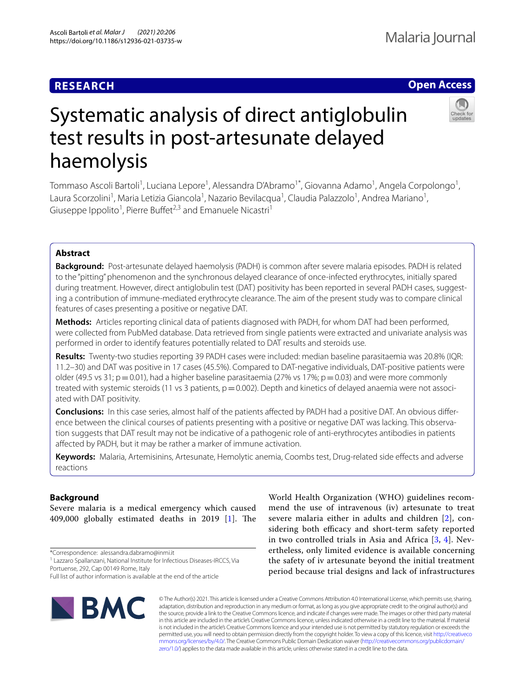# **RESEARCH**

# **Open Access**

# Systematic analysis of direct antiglobulin test results in post-artesunate delayed haemolysis

Tommaso Ascoli Bartoli<sup>1</sup>, Luciana Lepore<sup>1</sup>, Alessandra D'Abramo<sup>1\*</sup>, Giovanna Adamo<sup>1</sup>, Angela Corpolongo<sup>1</sup>, Laura Scorzolini<sup>1</sup>, Maria Letizia Giancola<sup>1</sup>, Nazario Bevilacqua<sup>1</sup>, Claudia Palazzolo<sup>1</sup>, Andrea Mariano<sup>1</sup>, Giuseppe Ippolito<sup>1</sup>, Pierre Buffet<sup>2,3</sup> and Emanuele Nicastri<sup>1</sup>

# **Abstract**

**Background:** Post-artesunate delayed haemolysis (PADH) is common after severe malaria episodes. PADH is related to the "pitting" phenomenon and the synchronous delayed clearance of once-infected erythrocytes, initially spared during treatment. However, direct antiglobulin test (DAT) positivity has been reported in several PADH cases, suggesting a contribution of immune-mediated erythrocyte clearance. The aim of the present study was to compare clinical features of cases presenting a positive or negative DAT.

**Methods:** Articles reporting clinical data of patients diagnosed with PADH, for whom DAT had been performed, were collected from PubMed database. Data retrieved from single patients were extracted and univariate analysis was performed in order to identify features potentially related to DAT results and steroids use.

**Results:** Twenty-two studies reporting 39 PADH cases were included: median baseline parasitaemia was 20.8% (IQR: 11.2–30) and DAT was positive in 17 cases (45.5%). Compared to DAT-negative individuals, DAT-positive patients were older (49.5 vs 31;  $p = 0.01$ ), had a higher baseline parasitaemia (27% vs 17%;  $p = 0.03$ ) and were more commonly treated with systemic steroids (11 vs 3 patients,  $p=0.002$ ). Depth and kinetics of delayed anaemia were not associated with DAT positivity.

**Conclusions:** In this case series, almost half of the patients afected by PADH had a positive DAT. An obvious diference between the clinical courses of patients presenting with a positive or negative DAT was lacking. This observation suggests that DAT result may not be indicative of a pathogenic role of anti-erythrocytes antibodies in patients afected by PADH, but it may be rather a marker of immune activation.

**Keywords:** Malaria, Artemisinins, Artesunate, Hemolytic anemia, Coombs test, Drug-related side efects and adverse reactions

## **Background**

Severe malaria is a medical emergency which caused 409,000 globally estimated deaths in 2019  $[1]$  $[1]$ . The

\*Correspondence: alessandra.dabramo@inmi.it

**IBMC** 

World Health Organization (WHO) guidelines recommend the use of intravenous (iv) artesunate to treat severe malaria either in adults and children [[2\]](#page-6-1), considering both efficacy and short-term safety reported in two controlled trials in Asia and Africa [[3,](#page-6-2) [4\]](#page-6-3). Nevertheless, only limited evidence is available concerning the safety of iv artesunate beyond the initial treatment period because trial designs and lack of infrastructures

© The Author(s) 2021. This article is licensed under a Creative Commons Attribution 4.0 International License, which permits use, sharing, adaptation, distribution and reproduction in any medium or format, as long as you give appropriate credit to the original author(s) and the source, provide a link to the Creative Commons licence, and indicate if changes were made. The images or other third party material in this article are included in the article's Creative Commons licence, unless indicated otherwise in a credit line to the material. If material is not included in the article's Creative Commons licence and your intended use is not permitted by statutory regulation or exceeds the permitted use, you will need to obtain permission directly from the copyright holder. To view a copy of this licence, visit [http://creativeco](http://creativecommons.org/licenses/by/4.0/) [mmons.org/licenses/by/4.0/.](http://creativecommons.org/licenses/by/4.0/) The Creative Commons Public Domain Dedication waiver ([http://creativecommons.org/publicdomain/](http://creativecommons.org/publicdomain/zero/1.0/) [zero/1.0/\)](http://creativecommons.org/publicdomain/zero/1.0/) applies to the data made available in this article, unless otherwise stated in a credit line to the data.

<sup>&</sup>lt;sup>1</sup> Lazzaro Spallanzani, National Institute for Infectious Diseases-IRCCS, Via Portuense, 292, Cap 00149 Rome, Italy

Full list of author information is available at the end of the article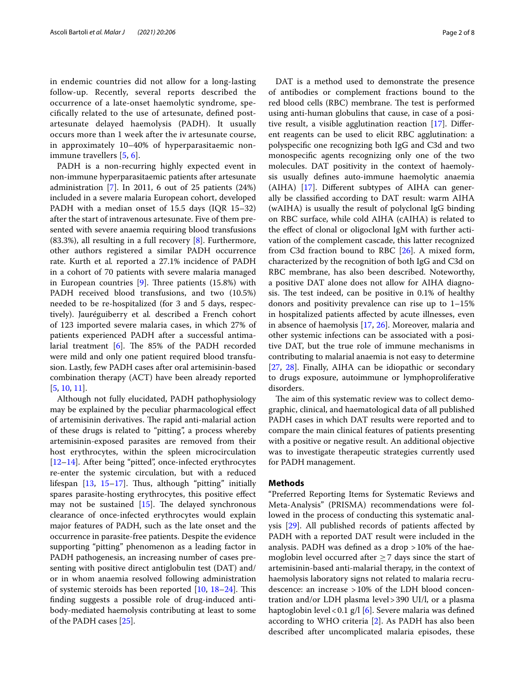in endemic countries did not allow for a long-lasting follow-up. Recently, several reports described the occurrence of a late-onset haemolytic syndrome, specifcally related to the use of artesunate, defned postartesunate delayed haemolysis (PADH). It usually occurs more than 1 week after the iv artesunate course, in approximately 10–40% of hyperparasitaemic nonimmune travellers [[5,](#page-6-4) [6\]](#page-6-5).

PADH is a non-recurring highly expected event in non-immune hyperparasitaemic patients after artesunate administration [\[7](#page-6-6)]. In 2011, 6 out of 25 patients (24%) included in a severe malaria European cohort, developed PADH with a median onset of 15.5 days (IQR 15–32) after the start of intravenous artesunate. Five of them presented with severe anaemia requiring blood transfusions (83.3%), all resulting in a full recovery [\[8](#page-6-7)]. Furthermore, other authors registered a similar PADH occurrence rate. Kurth et al*.* reported a 27.1% incidence of PADH in a cohort of 70 patients with severe malaria managed in European countries  $[9]$  $[9]$ . Three patients  $(15.8%)$  with PADH received blood transfusions, and two (10.5%) needed to be re-hospitalized (for 3 and 5 days, respectively). Jauréguiberry et al*.* described a French cohort of 123 imported severe malaria cases, in which 27% of patients experienced PADH after a successful antimalarial treatment  $[6]$  $[6]$  $[6]$ . The 85% of the PADH recorded were mild and only one patient required blood transfusion. Lastly, few PADH cases after oral artemisinin-based combination therapy (ACT) have been already reported [[5,](#page-6-4) [10](#page-6-9), [11\]](#page-6-10).

Although not fully elucidated, PADH pathophysiology may be explained by the peculiar pharmacological efect of artemisinin derivatives. The rapid anti-malarial action of these drugs is related to "pitting", a process whereby artemisinin-exposed parasites are removed from their host erythrocytes, within the spleen microcirculation [[12–](#page-6-11)[14](#page-6-12)]. After being "pitted", once-infected erythrocytes re-enter the systemic circulation, but with a reduced lifespan  $[13, 15-17]$  $[13, 15-17]$  $[13, 15-17]$  $[13, 15-17]$  $[13, 15-17]$  $[13, 15-17]$ . Thus, although "pitting" initially spares parasite-hosting erythrocytes, this positive efect may not be sustained  $[15]$  $[15]$  $[15]$ . The delayed synchronous clearance of once-infected erythrocytes would explain major features of PADH, such as the late onset and the occurrence in parasite-free patients. Despite the evidence supporting "pitting" phenomenon as a leading factor in PADH pathogenesis, an increasing number of cases presenting with positive direct antiglobulin test (DAT) and/ or in whom anaemia resolved following administration of systemic steroids has been reported  $[10, 18-24]$  $[10, 18-24]$  $[10, 18-24]$  $[10, 18-24]$  $[10, 18-24]$ . This fnding suggests a possible role of drug-induced antibody-mediated haemolysis contributing at least to some of the PADH cases [\[25](#page-6-18)].

DAT is a method used to demonstrate the presence of antibodies or complement fractions bound to the red blood cells (RBC) membrane. The test is performed using anti-human globulins that cause, in case of a positive result, a visible agglutination reaction [\[17\]](#page-6-15). Diferent reagents can be used to elicit RBC agglutination: a polyspecifc one recognizing both IgG and C3d and two monospecifc agents recognizing only one of the two molecules. DAT positivity in the context of haemolysis usually defnes auto-immune haemolytic anaemia (AIHA) [[17\]](#page-6-15). Diferent subtypes of AIHA can generally be classifed according to DAT result: warm AIHA (wAIHA) is usually the result of polyclonal IgG binding on RBC surface, while cold AIHA (cAIHA) is related to the efect of clonal or oligoclonal IgM with further activation of the complement cascade, this latter recognized from C3d fraction bound to RBC [\[26\]](#page-6-19). A mixed form, characterized by the recognition of both IgG and C3d on RBC membrane, has also been described. Noteworthy, a positive DAT alone does not allow for AIHA diagnosis. The test indeed, can be positive in 0.1% of healthy donors and positivity prevalence can rise up to 1–15% in hospitalized patients afected by acute illnesses, even in absence of haemolysis [\[17](#page-6-15), [26](#page-6-19)]. Moreover, malaria and other systemic infections can be associated with a positive DAT, but the true role of immune mechanisms in contributing to malarial anaemia is not easy to determine [[27,](#page-7-0) [28](#page-7-1)]. Finally, AIHA can be idiopathic or secondary to drugs exposure, autoimmune or lymphoproliferative disorders.

The aim of this systematic review was to collect demographic, clinical, and haematological data of all published PADH cases in which DAT results were reported and to compare the main clinical features of patients presenting with a positive or negative result. An additional objective was to investigate therapeutic strategies currently used for PADH management.

#### **Methods**

"Preferred Reporting Items for Systematic Reviews and Meta-Analysis" (PRISMA) recommendations were followed in the process of conducting this systematic analysis [\[29\]](#page-7-2). All published records of patients afected by PADH with a reported DAT result were included in the analysis. PADH was defned as a drop >10% of the haemoglobin level occurred after  $\geq$  7 days since the start of artemisinin-based anti-malarial therapy, in the context of haemolysis laboratory signs not related to malaria recrudescence: an increase >10% of the LDH blood concentration and/or LDH plasma level>390 UI/l, or a plasma haptoglobin level<0.1 g/l [\[6](#page-6-5)]. Severe malaria was defned according to WHO criteria [\[2](#page-6-1)]. As PADH has also been described after uncomplicated malaria episodes, these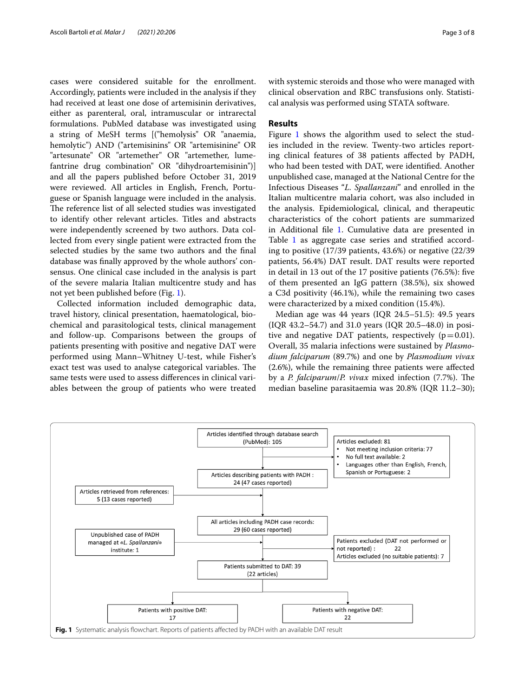cases were considered suitable for the enrollment. Accordingly, patients were included in the analysis if they had received at least one dose of artemisinin derivatives, either as parenteral, oral, intramuscular or intrarectal formulations. PubMed database was investigated using a string of MeSH terms [("hemolysis" OR "anaemia, hemolytic") AND ("artemisinins" OR "artemisinine" OR "artesunate" OR "artemether" OR "artemether, lumefantrine drug combination" OR "dihydroartemisinin")] and all the papers published before October 31, 2019 were reviewed. All articles in English, French, Portuguese or Spanish language were included in the analysis. The reference list of all selected studies was investigated to identify other relevant articles. Titles and abstracts were independently screened by two authors. Data collected from every single patient were extracted from the selected studies by the same two authors and the fnal database was fnally approved by the whole authors' consensus. One clinical case included in the analysis is part of the severe malaria Italian multicentre study and has not yet been published before (Fig. [1](#page-2-0)).

Collected information included demographic data, travel history, clinical presentation, haematological, biochemical and parasitological tests, clinical management and follow-up. Comparisons between the groups of patients presenting with positive and negative DAT were performed using Mann–Whitney U-test, while Fisher's exact test was used to analyse categorical variables. The same tests were used to assess diferences in clinical variables between the group of patients who were treated with systemic steroids and those who were managed with clinical observation and RBC transfusions only. Statistical analysis was performed using STATA software.

### **Results**

Figure [1](#page-2-0) shows the algorithm used to select the studies included in the review. Twenty-two articles reporting clinical features of 38 patients afected by PADH, who had been tested with DAT, were identifed. Another unpublished case, managed at the National Centre for the Infectious Diseases "*L. Spallanzani*" and enrolled in the Italian multicentre malaria cohort, was also included in the analysis. Epidemiological, clinical, and therapeutic characteristics of the cohort patients are summarized in Additional fle [1.](#page-5-0) Cumulative data are presented in Table [1](#page-3-0) as aggregate case series and stratified according to positive (17/39 patients, 43.6%) or negative (22/39 patients, 56.4%) DAT result. DAT results were reported in detail in 13 out of the 17 positive patients (76.5%): fve of them presented an IgG pattern (38.5%), six showed a C3d positivity (46.1%), while the remaining two cases were characterized by a mixed condition (15.4%).

Median age was 44 years (IQR 24.5–51.5): 49.5 years (IQR 43.2–54.7) and 31.0 years (IQR 20.5–48.0) in positive and negative DAT patients, respectively  $(p=0.01)$ . Overall, 35 malaria infections were sustained by *Plasmodium falciparum* (89.7%) and one by *Plasmodium vivax* (2.6%), while the remaining three patients were afected by a *P. falciparum/P. vivax* mixed infection (7.7%). The median baseline parasitaemia was 20.8% (IQR 11.2–30);

<span id="page-2-0"></span>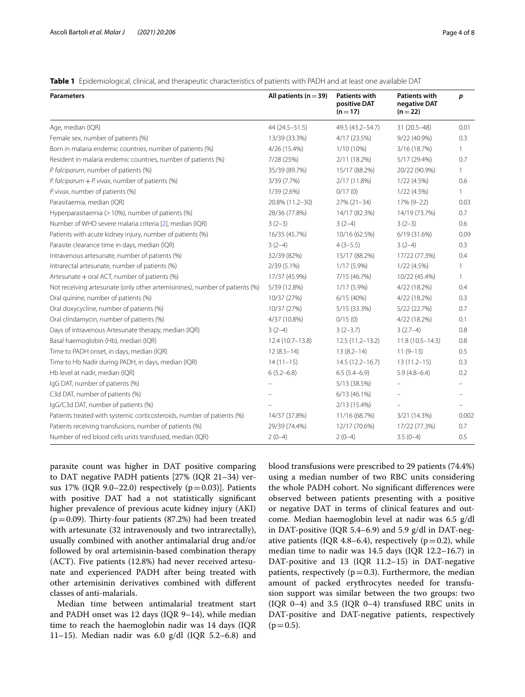| <b>Parameters</b>                                                           | All patients ( $n = 39$ ) | <b>Patients with</b><br>positive DAT<br>$(n=17)$ | <b>Patients with</b><br>negative DAT<br>$(n=22)$ | p     |
|-----------------------------------------------------------------------------|---------------------------|--------------------------------------------------|--------------------------------------------------|-------|
| Age, median (IQR)                                                           | 44 (24.5 - 51.5)          | 49.5 (43.2-54.7)                                 | 31 (20.5-48)                                     | 0.01  |
| Female sex, number of patients (%)                                          | 13/39 (33.3%)             | 4/17 (23.5%)                                     | 9/22 (40.9%)                                     | 0.3   |
| Born in malaria endemic countries, number of patients (%)                   | 4/26 (15.4%)              | 1/10 (10%)                                       | 3/16 (18.7%)                                     | 1.    |
| Resident in malaria endemic countries, number of patients (%)               | 7/28 (25%)                | 2/11 (18.2%)                                     | 5/17 (29.4%)                                     | 0.7   |
| P. falciparum, number of patients (%)                                       | 35/39 (89.7%)             | 15/17 (88.2%)                                    | 20/22 (90.9%)                                    | 1     |
| P. falciparum $+$ P. vivax, number of patients (%)                          | 3/39 (7.7%)               | 2/17 (11.8%)                                     | 1/22(4.5%)                                       | 0.6   |
| P. vivax, number of patients (%)                                            | 1/39 (2.6%)               | 0/17(0)                                          | 1/22 (4.5%)                                      | 1     |
| Parasitaemia, median (IQR)                                                  | 20.8% (11.2-30)           | $27\% (21 - 34)$                                 | 17% (9-22)                                       | 0.03  |
| Hyperparasitaemia (> 10%), number of patients (%)                           | 28/36 (77.8%)             | 14/17 (82.3%)                                    | 14/19 (73.7%)                                    | 0.7   |
| Number of WHO severe malaria criteria [2], median (IQR)                     | $3(2-3)$                  | $3(2-4)$                                         | $3(2-3)$                                         | 0.6   |
| Patients with acute kidney injury, number of patients (%)                   | 16/35 (45.7%)             | 10/16 (62.5%)                                    | 6/19 (31.6%)                                     | 0.09  |
| Parasite clearance time in days, median (IQR)                               | $3(2-4)$                  | $4(3-5.5)$                                       | $3(2-4)$                                         | 0.3   |
| Intravenous artesunate, number of patients (%)                              | 32/39 (82%)               | 15/17 (88.2%)                                    | 17/22 (77.3%)                                    | 0.4   |
| Intrarectal artesunate, number of patients (%)                              | $2/39(5.1\%)$             | $1/17(5.9\%)$                                    | 1/22(4.5%)                                       | 1     |
| Artesunate + oral ACT, number of patients (%)                               | 17/37 (45.9%)             | 7/15 (46.7%)                                     | 10/22 (45.4%)                                    | 1     |
| Not receiving artesunate (only other artemisinines), number of patients (%) | 5/39 (12.8%)              | $1/17(5.9\%)$                                    | 4/22 (18.2%)                                     | 0.4   |
| Oral quinine, number of patients (%)                                        | 10/37 (27%)               | 6/15(40%)                                        | 4/22 (18.2%)                                     | 0.3   |
| Oral doxycycline, number of patients (%)                                    | 10/37 (27%)               | 5/15 (33.3%)                                     | 5/22 (22.7%)                                     | 0.7   |
| Oral clindamycin, number of patients (%)                                    | 4/37 (10.8%)              | 0/15(0)                                          | 4/22 (18.2%)                                     | 0.1   |
| Days of intravenous Artesunate therapy, median (IQR)                        | $3(2-4)$                  | $3(2-3.7)$                                       | $3(2.7-4)$                                       | 0.8   |
| Basal haemoglobin (Hb), median (IQR)                                        | 12.4 (10.7-13.8)          | $12.5(11.2 - 13.2)$                              | $11.8(10.5 - 14.3)$                              | 0.8   |
| Time to PADH onset, in days, median (IQR)                                   | $12(8.5-14)$              | $13(8.2 - 14)$                                   | $11(9-13)$                                       | 0.5   |
| Time to Hb Nadir during PADH, in days, median (IQR)                         | $14(11-15)$               | $14.5(12.2 - 16.7)$                              | $13(11.2-15)$                                    | 0.3   |
| Hb level at nadir, median (IQR)                                             | $6(5.2 - 6.8)$            | $6.5(5.4-6.9)$                                   | $5.9(4.8-6.4)$                                   | 0.2   |
| IgG DAT, number of patients (%)                                             |                           | 5/13 (38.5%)                                     |                                                  |       |
| C3d DAT, number of patients (%)                                             |                           | 6/13 (46.1%)                                     |                                                  |       |
| IgG/C3d DAT, number of patients (%)                                         |                           | 2/13 (15.4%)                                     |                                                  |       |
| Patients treated with systemic corticosteroids, number of patients (%)      | 14/37 (37.8%)             | 11/16 (68.7%)                                    | 3/21 (14.3%)                                     | 0.002 |
| Patients receiving transfusions, number of patients (%)                     | 29/39 (74.4%)             | 12/17 (70.6%)                                    | 17/22 (77.3%)                                    | 0.7   |

Number of red blood cells units transfused, median (IQR)  $2(0-4)$   $2(0-4)$   $3.5(0-4)$  0.5

<span id="page-3-0"></span>**Table 1** Epidemiological, clinical, and therapeutic characteristics of patients with PADH and at least one available DAT

parasite count was higher in DAT positive comparing to DAT negative PADH patients [27% (IQR 21–34) versus 17% (IQR 9.0–22.0) respectively  $(p=0.03)$ ]. Patients with positive DAT had a not statistically signifcant higher prevalence of previous acute kidney injury (AKI) ( $p=0.09$ ). Thirty-four patients (87.2%) had been treated with artesunate (32 intravenously and two intrarectally), usually combined with another antimalarial drug and/or followed by oral artemisinin-based combination therapy (ACT). Five patients (12.8%) had never received artesunate and experienced PADH after being treated with other artemisinin derivatives combined with diferent classes of anti-malarials.

Median time between antimalarial treatment start and PADH onset was 12 days (IQR 9–14), while median time to reach the haemoglobin nadir was 14 days (IQR 11–15). Median nadir was 6.0 g/dl (IQR 5.2–6.8) and blood transfusions were prescribed to 29 patients (74.4%) using a median number of two RBC units considering the whole PADH cohort. No signifcant diferences were observed between patients presenting with a positive or negative DAT in terms of clinical features and outcome. Median haemoglobin level at nadir was 6.5 g/dl in DAT-positive (IQR 5.4–6.9) and 5.9 g/dl in DAT-negative patients (IQR 4.8–6.4), respectively ( $p=0.2$ ), while median time to nadir was 14.5 days (IQR 12.2–16.7) in DAT-positive and 13 (IQR 11.2–15) in DAT-negative patients, respectively ( $p=0.3$ ). Furthermore, the median amount of packed erythrocytes needed for transfusion support was similar between the two groups: two (IQR 0–4) and 3.5 (IQR 0–4) transfused RBC units in DAT-positive and DAT-negative patients, respectively  $(p=0.5)$ .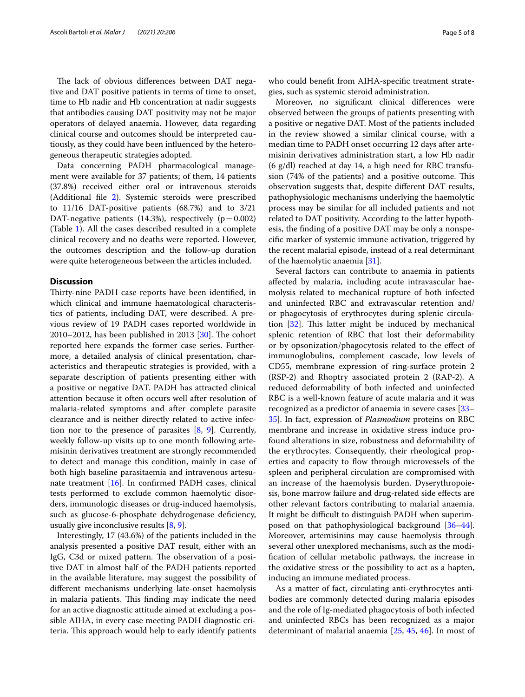The lack of obvious differences between DAT negative and DAT positive patients in terms of time to onset, time to Hb nadir and Hb concentration at nadir suggests that antibodies causing DAT positivity may not be major operators of delayed anaemia. However, data regarding clinical course and outcomes should be interpreted cautiously, as they could have been infuenced by the heterogeneous therapeutic strategies adopted.

Data concerning PADH pharmacological management were available for 37 patients; of them, 14 patients (37.8%) received either oral or intravenous steroids (Additional fle [2\)](#page-5-1). Systemic steroids were prescribed to 11/16 DAT-positive patients (68.7%) and to 3/21 DAT-negative patients (14.3%), respectively ( $p=0.002$ ) (Table [1](#page-3-0)). All the cases described resulted in a complete clinical recovery and no deaths were reported. However, the outcomes description and the follow-up duration were quite heterogeneous between the articles included.

#### **Discussion**

Thirty-nine PADH case reports have been identified, in which clinical and immune haematological characteristics of patients, including DAT, were described. A previous review of 19 PADH cases reported worldwide in 2010–2012, has been published in 2013  $[30]$  $[30]$ . The cohort reported here expands the former case series. Furthermore, a detailed analysis of clinical presentation, characteristics and therapeutic strategies is provided, with a separate description of patients presenting either with a positive or negative DAT. PADH has attracted clinical attention because it often occurs well after resolution of malaria-related symptoms and after complete parasite clearance and is neither directly related to active infection nor to the presence of parasites [\[8,](#page-6-7) [9](#page-6-8)]. Currently, weekly follow-up visits up to one month following artemisinin derivatives treatment are strongly recommended to detect and manage this condition, mainly in case of both high baseline parasitaemia and intravenous artesunate treatment [\[16](#page-6-20)]. In confrmed PADH cases, clinical tests performed to exclude common haemolytic disorders, immunologic diseases or drug-induced haemolysis, such as glucose-6-phosphate dehydrogenase defciency, usually give inconclusive results [\[8,](#page-6-7) [9](#page-6-8)].

Interestingly, 17 (43.6%) of the patients included in the analysis presented a positive DAT result, either with an IgG, C3d or mixed pattern. The observation of a positive DAT in almost half of the PADH patients reported in the available literature, may suggest the possibility of diferent mechanisms underlying late-onset haemolysis in malaria patients. This finding may indicate the need for an active diagnostic attitude aimed at excluding a possible AIHA, in every case meeting PADH diagnostic criteria. This approach would help to early identify patients who could beneft from AIHA-specifc treatment strategies, such as systemic steroid administration.

Moreover, no signifcant clinical diferences were observed between the groups of patients presenting with a positive or negative DAT. Most of the patients included in the review showed a similar clinical course, with a median time to PADH onset occurring 12 days after artemisinin derivatives administration start, a low Hb nadir (6 g/dl) reached at day 14, a high need for RBC transfusion (74% of the patients) and a positive outcome. This observation suggests that, despite diferent DAT results, pathophysiologic mechanisms underlying the haemolytic process may be similar for all included patients and not related to DAT positivity. According to the latter hypothesis, the fnding of a positive DAT may be only a nonspecifc marker of systemic immune activation, triggered by the recent malarial episode, instead of a real determinant of the haemolytic anaemia [[31](#page-7-4)].

Several factors can contribute to anaemia in patients afected by malaria, including acute intravascular haemolysis related to mechanical rupture of both infected and uninfected RBC and extravascular retention and/ or phagocytosis of erythrocytes during splenic circulation  $[32]$  $[32]$ . This latter might be induced by mechanical splenic retention of RBC that lost their deformability or by opsonization/phagocytosis related to the efect of immunoglobulins, complement cascade, low levels of CD55, membrane expression of ring-surface protein 2 (RSP-2) and Rhoptry associated protein 2 (RAP-2). A reduced deformability of both infected and uninfected RBC is a well-known feature of acute malaria and it was recognized as a predictor of anaemia in severe cases [[33–](#page-7-6) [35\]](#page-7-7). In fact, expression of *Plasmodium* proteins on RBC membrane and increase in oxidative stress induce profound alterations in size, robustness and deformability of the erythrocytes. Consequently, their rheological properties and capacity to flow through microvessels of the spleen and peripheral circulation are compromised with an increase of the haemolysis burden. Dyserythropoiesis, bone marrow failure and drug-related side efects are other relevant factors contributing to malarial anaemia. It might be difficult to distinguish PADH when superimposed on that pathophysiological background [[36](#page-7-8)[–44](#page-7-9)]. Moreover, artemisinins may cause haemolysis through several other unexplored mechanisms, such as the modifcation of cellular metabolic pathways, the increase in the oxidative stress or the possibility to act as a hapten, inducing an immune mediated process.

As a matter of fact, circulating anti-erythrocytes antibodies are commonly detected during malaria episodes and the role of Ig-mediated phagocytosis of both infected and uninfected RBCs has been recognized as a major determinant of malarial anaemia [\[25](#page-6-18), [45](#page-7-10), [46\]](#page-7-11). In most of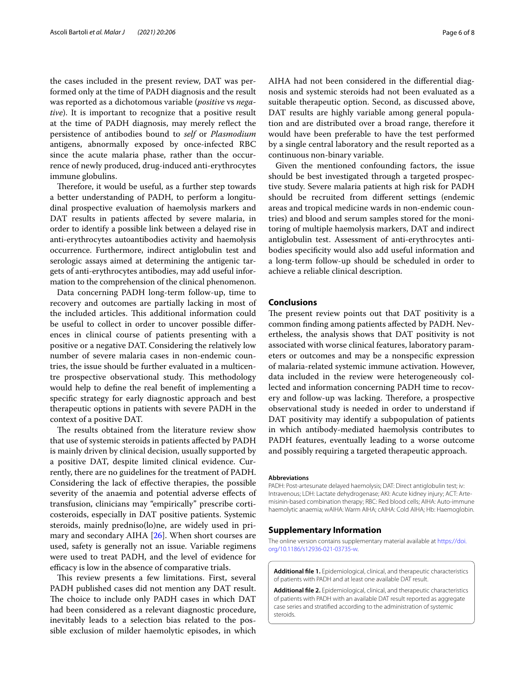the cases included in the present review, DAT was performed only at the time of PADH diagnosis and the result was reported as a dichotomous variable (*positive* vs *negative*). It is important to recognize that a positive result at the time of PADH diagnosis, may merely refect the persistence of antibodies bound to *self* or *Plasmodium* antigens, abnormally exposed by once-infected RBC since the acute malaria phase, rather than the occurrence of newly produced, drug-induced anti-erythrocytes immune globulins.

Therefore, it would be useful, as a further step towards a better understanding of PADH, to perform a longitudinal prospective evaluation of haemolysis markers and DAT results in patients afected by severe malaria, in order to identify a possible link between a delayed rise in anti-erythrocytes autoantibodies activity and haemolysis occurrence. Furthermore, indirect antiglobulin test and serologic assays aimed at determining the antigenic targets of anti-erythrocytes antibodies, may add useful information to the comprehension of the clinical phenomenon.

Data concerning PADH long-term follow-up, time to recovery and outcomes are partially lacking in most of the included articles. This additional information could be useful to collect in order to uncover possible diferences in clinical course of patients presenting with a positive or a negative DAT. Considering the relatively low number of severe malaria cases in non-endemic countries, the issue should be further evaluated in a multicentre prospective observational study. This methodology would help to defne the real beneft of implementing a specifc strategy for early diagnostic approach and best therapeutic options in patients with severe PADH in the context of a positive DAT.

The results obtained from the literature review show that use of systemic steroids in patients afected by PADH is mainly driven by clinical decision, usually supported by a positive DAT, despite limited clinical evidence. Currently, there are no guidelines for the treatment of PADH. Considering the lack of efective therapies, the possible severity of the anaemia and potential adverse efects of transfusion, clinicians may "empirically" prescribe corticosteroids, especially in DAT positive patients. Systemic steroids, mainly predniso(lo)ne, are widely used in primary and secondary AIHA [\[26](#page-6-19)]. When short courses are used, safety is generally not an issue. Variable regimens were used to treat PADH, and the level of evidence for efficacy is low in the absence of comparative trials.

This review presents a few limitations. First, several PADH published cases did not mention any DAT result. The choice to include only PADH cases in which DAT had been considered as a relevant diagnostic procedure, inevitably leads to a selection bias related to the possible exclusion of milder haemolytic episodes, in which AIHA had not been considered in the diferential diagnosis and systemic steroids had not been evaluated as a suitable therapeutic option. Second, as discussed above, DAT results are highly variable among general population and are distributed over a broad range, therefore it would have been preferable to have the test performed by a single central laboratory and the result reported as a continuous non-binary variable.

Given the mentioned confounding factors, the issue should be best investigated through a targeted prospective study. Severe malaria patients at high risk for PADH should be recruited from diferent settings (endemic areas and tropical medicine wards in non-endemic countries) and blood and serum samples stored for the monitoring of multiple haemolysis markers, DAT and indirect antiglobulin test. Assessment of anti-erythrocytes antibodies specifcity would also add useful information and a long-term follow-up should be scheduled in order to achieve a reliable clinical description.

#### **Conclusions**

The present review points out that DAT positivity is a common fnding among patients afected by PADH. Nevertheless, the analysis shows that DAT positivity is not associated with worse clinical features, laboratory parameters or outcomes and may be a nonspecifc expression of malaria-related systemic immune activation. However, data included in the review were heterogeneously collected and information concerning PADH time to recovery and follow-up was lacking. Therefore, a prospective observational study is needed in order to understand if DAT positivity may identify a subpopulation of patients in which antibody-mediated haemolysis contributes to PADH features, eventually leading to a worse outcome and possibly requiring a targeted therapeutic approach.

#### **Abbreviations**

PADH: Post-artesunate delayed haemolysis; DAT: Direct antiglobulin test; iv: Intravenous; LDH: Lactate dehydrogenase; AKI: Acute kidney injury; ACT: Artemisinin-based combination therapy; RBC: Red blood cells; AIHA: Auto-immune haemolytic anaemia; wAIHA: Warm AIHA; cAIHA: Cold AIHA; Hb: Haemoglobin.

#### **Supplementary Information**

The online version contains supplementary material available at [https://doi.](https://doi.org/10.1186/s12936-021-03735-w) [org/10.1186/s12936-021-03735-w.](https://doi.org/10.1186/s12936-021-03735-w)

<span id="page-5-1"></span><span id="page-5-0"></span>**Additional fle 1.** Epidemiological, clinical, and therapeutic characteristics of patients with PADH and at least one available DAT result.

**Additional fle 2.** Epidemiological, clinical, and therapeutic characteristics of patients with PADH with an available DAT result reported as aggregate case series and stratifed according to the administration of systemic steroids.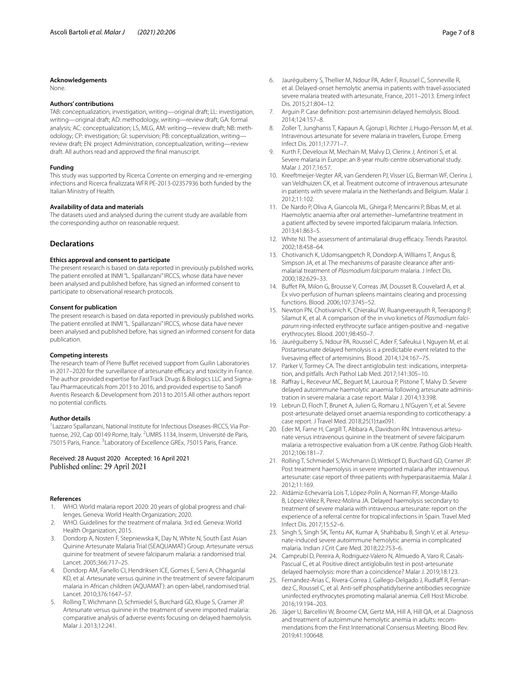#### **Acknowledgements**

None.

#### **Authors' contributions**

TAB: conceptualization, investigation, writing—original draft; LL: investigation, writing—original draft; AD: methodology, writing—review draft; GA: formal analysis; AC: conceptualization; LS, MLG, AM: writing—review draft; NB: methodology; CP: investigation; GI: supervision; PB: conceptualization, writing review draft; EN: project Administration, conceptualization, writing—review draft. All authors read and approved the fnal manuscript.

#### **Funding**

This study was supported by Ricerca Corrente on emerging and re-emerging infections and Ricerca fnalizzata WFR PE-2013-02357936 both funded by the Italian Ministry of Health.

#### **Availability of data and materials**

The datasets used and analysed during the current study are available from the corresponding author on reasonable request.

#### **Declarations**

#### **Ethics approval and consent to participate**

The present research is based on data reported in previously published works. The patient enrolled at INMI "L. Spallanzani" IRCCS, whose data have never been analysed and published before, has signed an informed consent to participate to observational research protocols.

#### **Consent for publication**

The present research is based on data reported in previously published works. The patient enrolled at INMI "L. Spallanzani" IRCCS, whose data have never been analysed and published before, has signed an informed consent for data publication.

#### **Competing interests**

The research team of Pierre Buffet received support from Guilin Laboratories in 2017–2020 for the surveillance of artesunate efficacy and toxicity in France. The author provided expertise for FastTrack Drugs & Biologics LLC and Sigma-Tau Pharmaceuticals from 2013 to 2016, and provided expertise to Sanof Aventis Research & Development from 2013 to 2015.All other authors report no potential conficts.

#### **Author details**

<sup>1</sup> Lazzaro Spallanzani, National Institute for Infectious Diseases-IRCCS, Via Portuense, 292, Cap 00149 Rome, Italy. <sup>2</sup>UMRS 1134, Inserm, Université de Paris, 75015 Paris, France.<sup>3</sup> Laboratory of Excellence GREx, 75015 Paris, France.

#### Received: 28 August 2020 Accepted: 16 April 2021 Published online: 29 April 2021

#### **References**

- <span id="page-6-0"></span>1. WHO. World malaria report 2020: 20 years of global progress and challenges. Geneva: World Health Organization; 2020.
- <span id="page-6-1"></span>2. WHO. Guidelines for the treatment of malaria. 3rd ed. Geneva: World Health Organization; 2015.
- <span id="page-6-2"></span>3. Dondorp A, Nosten F, Stepniewska K, Day N, White N, South East Asian Quinine Artesunate Malaria Trial (SEAQUAMAT) Group. Artesunate versus quinine for treatment of severe falciparum malaria: a randomised trial. Lancet. 2005;366:717–25.
- <span id="page-6-3"></span>4. Dondorp AM, Fanello CI, Hendriksen ICE, Gomes E, Seni A, Chhaganlal KD, et al. Artesunate versus quinine in the treatment of severe falciparum malaria in African children (AQUAMAT): an open-label, randomised trial. Lancet. 2010;376:1647–57.
- <span id="page-6-4"></span>5. Rolling T, Wichmann D, Schmiedel S, Burchard GD, Kluge S, Cramer JP. Artesunate versus quinine in the treatment of severe imported malaria: comparative analysis of adverse events focusing on delayed haemolysis. Malar J. 2013;12:241.
- <span id="page-6-5"></span>6. Jauréguiberry S, Thellier M, Ndour PA, Ader F, Roussel C, Sonneville R, et al. Delayed-onset hemolytic anemia in patients with travel-associated severe malaria treated with artesunate, France, 2011–2013. Emerg Infect Dis. 2015;21:804–12.
- <span id="page-6-6"></span>7. Arguin P. Case defnition: post-artemisinin delayed hemolysis. Blood. 2014;124:157–8.
- <span id="page-6-7"></span>8. Zoller T, Junghanss T, Kapaun A, Gjorup I, Richter J, Hugo-Persson M, et al. Intravenous artesunate for severe malaria in travelers, Europe. Emerg Infect Dis. 2011;17:771–7.
- <span id="page-6-8"></span>Kurth F, Develoux M, Mechain M, Malvy D, Clerinx J, Antinori S, et al. Severe malaria in Europe: an 8-year multi-centre observational study. Malar J. 2017;16:57.
- <span id="page-6-9"></span>10. Kreeftmeijer-Vegter AR, van Genderen PJ, Visser LG, Bierman WF, Clerinx J, van Veldhuizen CK, et al. Treatment outcome of intravenous artesunate in patients with severe malaria in the Netherlands and Belgium. Malar J. 2012;11:102.
- <span id="page-6-10"></span>11. De Nardo P, Oliva A, Giancola ML, Ghirga P, Mencarini P, Bibas M, et al. Haemolytic anaemia after oral artemether–lumefantrine treatment in a patient afected by severe imported falciparum malaria. Infection. 2013;41:863–5.
- <span id="page-6-11"></span>12. White NJ. The assessment of antimalarial drug efficacy. Trends Parasitol. 2002;18:458–64.
- <span id="page-6-13"></span>13. Chotivanich K, Udomsangpetch R, Dondorp A, Williams T, Angus B, Simpson JA, et al. The mechanisms of parasite clearance after antimalarial treatment of *Plasmodium falciparum* malaria. J Infect Dis. 2000;182:629–33.
- <span id="page-6-12"></span>14. Bufet PA, Milon G, Brousse V, Correas JM, Dousset B, Couvelard A, et al. Ex vivo perfusion of human spleens maintains clearing and processing functions. Blood. 2006;107:3745–52.
- <span id="page-6-14"></span>15. Newton PN, Chotivanich K, Chierakul W, Ruangveerayuth R, Teerapong P, Silamut K, et al. A comparison of the in vivo kinetics of *Plasmodium falciparum* ring-infected erythrocyte surface antigen-positive and -negative erythrocytes. Blood. 2001;98:450–7.
- <span id="page-6-20"></span>16. Jauréguiberry S, Ndour PA, Roussel C, Ader F, Safeukui I, Nguyen M, et al. Postartesunate delayed hemolysis is a predictable event related to the livesaving efect of artemisinins. Blood. 2014;124:167–75.
- <span id="page-6-15"></span>17. Parker V, Tormey CA. The direct antiglobulin test: indications, interpretation, and pitfalls. Arch Pathol Lab Med. 2017;141:305–10.
- <span id="page-6-16"></span>18. Rafray L, Receveur MC, Beguet M, Lauroua P, Pistone T, Malvy D. Severe delayed autoimmune haemolytic anaemia following artesunate administration in severe malaria: a case report. Malar J. 2014;13:398.
- 19. Lebrun D, Floch T, Brunet A, Julien G, Romaru J, N'Guyen Y, et al. Severe post-artesunate delayed onset anaemia responding to corticotherapy: a case report. J Travel Med. 2018;25(1):tax091.
- 20. Eder M, Farne H, Cargill T, Abbara A, Davidson RN. Intravenous artesunate versus intravenous quinine in the treatment of severe falciparum malaria: a retrospective evaluation from a UK centre. Pathog Glob Health. 2012;106:181–7.
- 21. Rolling T, Schmiedel S, Wichmann D, Wittkopf D, Burchard GD, Cramer JP. Post treatment haemolysis in severe imported malaria after intravenous artesunate: case report of three patients with hyperparasitaemia. Malar J. 2012;11:169.
- 22. Aldámiz-Echevarría Lois T, López-Polín A, Norman FF, Monge-Maillo B, López-Vélez R, Perez-Molina JA. Delayed haemolysis secondary to treatment of severe malaria with intravenous artesunate: report on the experience of a referral centre for tropical infections in Spain. Travel Med Infect Dis. 2017;15:52–6.
- 23. Singh S, Singh SK, Tentu AK, Kumar A, Shahbabu B, Singh V, et al. Artesunate-induced severe autoimmune hemolytic anemia in complicated malaria. Indian J Crit Care Med. 2018;22:753–6.
- <span id="page-6-17"></span>24. Camprubí D, Pereira A, Rodriguez-Valero N, Almuedo A, Varo R, Casals-Pascual C, et al. Positive direct antiglobulin test in post-artesunate delayed haemolysis: more than a coincidence? Malar J. 2019;18:123.
- <span id="page-6-18"></span>25. Fernandez-Arias C, Rivera-Correa J, Gallego-Delgado J, Rudlaff R, Fernandez C, Roussel C, et al. Anti-self phosphatidylserine antibodies recognize uninfected erythrocytes promoting malarial anemia. Cell Host Microbe. 2016;19:194–203.
- <span id="page-6-19"></span>26. Jäger U, Barcellini W, Broome CM, Gertz MA, Hill A, Hill QA, et al. Diagnosis and treatment of autoimmune hemolytic anemia in adults: recommendations from the First International Consensus Meeting. Blood Rev. 2019;41:100648.